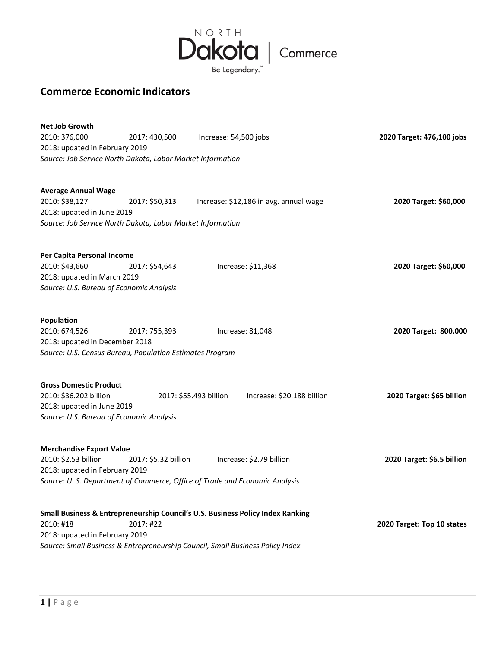

## **Commerce Economic Indicators**

| <b>Net Job Growth</b>                                      |                      |                                                                                |                            |
|------------------------------------------------------------|----------------------|--------------------------------------------------------------------------------|----------------------------|
| 2010: 376,000                                              | 2017: 430,500        | Increase: 54,500 jobs                                                          | 2020 Target: 476,100 jobs  |
| 2018: updated in February 2019                             |                      |                                                                                |                            |
| Source: Job Service North Dakota, Labor Market Information |                      |                                                                                |                            |
| <b>Average Annual Wage</b>                                 |                      |                                                                                |                            |
| 2010: \$38,127                                             | 2017: \$50,313       | Increase: \$12,186 in avg. annual wage                                         | 2020 Target: \$60,000      |
| 2018: updated in June 2019                                 |                      |                                                                                |                            |
| Source: Job Service North Dakota, Labor Market Information |                      |                                                                                |                            |
| Per Capita Personal Income                                 |                      |                                                                                |                            |
| 2010: \$43,660                                             | 2017: \$54,643       | Increase: \$11,368                                                             | 2020 Target: \$60,000      |
| 2018: updated in March 2019                                |                      |                                                                                |                            |
| Source: U.S. Bureau of Economic Analysis                   |                      |                                                                                |                            |
| Population                                                 |                      |                                                                                |                            |
| 2010: 674,526                                              | 2017: 755,393        | Increase: 81,048                                                               | 2020 Target: 800,000       |
| 2018: updated in December 2018                             |                      |                                                                                |                            |
| Source: U.S. Census Bureau, Population Estimates Program   |                      |                                                                                |                            |
| <b>Gross Domestic Product</b>                              |                      |                                                                                |                            |
| 2010: \$36.202 billion                                     |                      | Increase: \$20.188 billion<br>2017: \$55.493 billion                           | 2020 Target: \$65 billion  |
| 2018: updated in June 2019                                 |                      |                                                                                |                            |
| Source: U.S. Bureau of Economic Analysis                   |                      |                                                                                |                            |
| <b>Merchandise Export Value</b>                            |                      |                                                                                |                            |
| 2010: \$2.53 billion                                       | 2017: \$5.32 billion | Increase: \$2.79 billion                                                       | 2020 Target: \$6.5 billion |
| 2018: updated in February 2019                             |                      |                                                                                |                            |
|                                                            |                      | Source: U. S. Department of Commerce, Office of Trade and Economic Analysis    |                            |
|                                                            |                      | Small Business & Entrepreneurship Council's U.S. Business Policy Index Ranking |                            |
| 2010: #18                                                  | 2017: #22            |                                                                                | 2020 Target: Top 10 states |
| 2018: updated in February 2019                             |                      |                                                                                |                            |
|                                                            |                      | Source: Small Business & Entrepreneurship Council, Small Business Policy Index |                            |